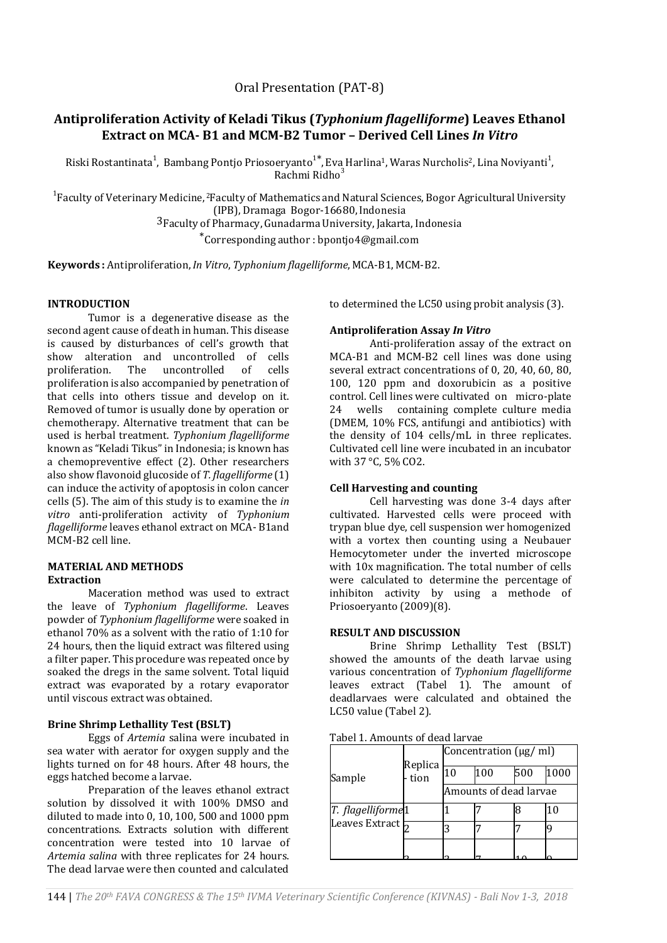Oral Presentation (PAT-8)

# **Antiproliferation Activity of Keladi Tikus (***Typhonium flagelliforme***) Leaves Ethanol Extract on MCA- B1 and MCM-B2 Tumor – Derived Cell Lines** *In Vitro*

Riski Rostantinata<sup>1</sup>, Bambang Pontjo Priosoeryanto<sup>1\*</sup>, Eva Harlina<sup>1</sup>, Waras Nurcholis<sup>2</sup>, Lina Noviyanti<sup>1</sup>, Rachmi Ridho 3

<sup>1</sup>Faculty of Veterinary Medicine, <sup>2</sup>Faculty of Mathematics and Natural Sciences, Bogor Agricultural University (IPB), Dramaga Bogor-16680,Indonesia 3Faculty of Pharmacy, Gunadarma University, Jakarta, Indonesia

\*Corresponding author : bpontjo4@gmail.com

**Keywords :** Antiproliferation,*In Vitro*, *Typhonium flagelliforme*, MCA-B1, MCM-B2.

## **INTRODUCTION**

Tumor is a degenerative disease as the second agent cause of death in human. This disease is caused by disturbances of cell's growth that show alteration and uncontrolled of cells proliferation. The uncontrolled of cells proliferation is also accompanied by penetration of that cells into others tissue and develop on it. Removed of tumor is usually done by operation or chemotherapy. Alternative treatment that can be used is herbal treatment. *Typhonium flagelliforme*  known as "Keladi Tikus" in Indonesia; is known has a chemopreventive effect (2). Other researchers also show flavonoid glucoside of *T. flagelliforme* (1) can induce the activity of apoptosis in colon cancer cells (5). The aim of this study is to examine the *in vitro* anti-proliferation activity of *Typhonium flagelliforme* leaves ethanol extract on MCA- B1and MCM-B2 cell line.

#### **MATERIAL AND METHODS Extraction**

Maceration method was used to extract the leave of *Typhonium flagelliforme*. Leaves powder of *Typhonium flagelliforme* were soaked in ethanol 70% as a solvent with the ratio of 1:10 for 24 hours, then the liquid extract was filtered using a filter paper. This procedure was repeated once by soaked the dregs in the same solvent. Total liquid extract was evaporated by a rotary evaporator until viscous extract was obtained.

## **Brine Shrimp Lethallity Test (BSLT)**

Eggs of *Artemia* salina were incubated in sea water with aerator for oxygen supply and the lights turned on for 48 hours. After 48 hours, the eggs hatched become a larvae.

Preparation of the leaves ethanol extract solution by dissolved it with 100% DMSO and diluted to made into 0, 10, 100, 500 and 1000 ppm concentrations. Extracts solution with different concentration were tested into 10 larvae of *Artemia salina* with three replicates for 24 hours. The dead larvae were then counted and calculated

to determined the LC50 using probit analysis (3).

## **Antiproliferation Assay** *In Vitro*

Anti-proliferation assay of the extract on MCA-B1 and MCM-B2 cell lines was done using several extract concentrations of 0, 20, 40, 60, 80, 100, 120 ppm and doxorubicin as a positive control. Cell lines were cultivated on micro-plate 24 wells containing complete culture media (DMEM, 10% FCS, antifungi and antibiotics) with the density of 104 cells/mL in three replicates. Cultivated cell line were incubated in an incubator with 37 °C, 5% CO2.

## **Cell Harvesting and counting**

Cell harvesting was done 3-4 days after cultivated. Harvested cells were proceed with trypan blue dye, cell suspension wer homogenized with a vortex then counting using a Neubauer Hemocytometer under the inverted microscope with 10x magnification. The total number of cells were calculated to determine the percentage of inhibiton activity by using a methode of Priosoeryanto (2009)(8).

## **RESULT AND DISCUSSION**

Brine Shrimp Lethallity Test (BSLT) showed the amounts of the death larvae using various concentration of *Typhonium flagelliforme*  leaves extract (Tabel 1). The amount of deadlarvaes were calculated and obtained the LC50 value (Tabel 2).

Tabel 1. Amounts of dead larvae

| Sample                                                        | Replica<br>- tion | Concentration $(\mu g/\text{ml})$ |     |     |      |
|---------------------------------------------------------------|-------------------|-----------------------------------|-----|-----|------|
|                                                               |                   | 10                                | 100 | 500 | 1000 |
|                                                               |                   | Amounts of dead larvae            |     |     |      |
| T. flagelliforme <sup>1</sup><br>Leaves Extract $\frac{1}{2}$ |                   |                                   |     |     |      |
|                                                               |                   |                                   |     |     |      |
|                                                               |                   |                                   |     |     |      |